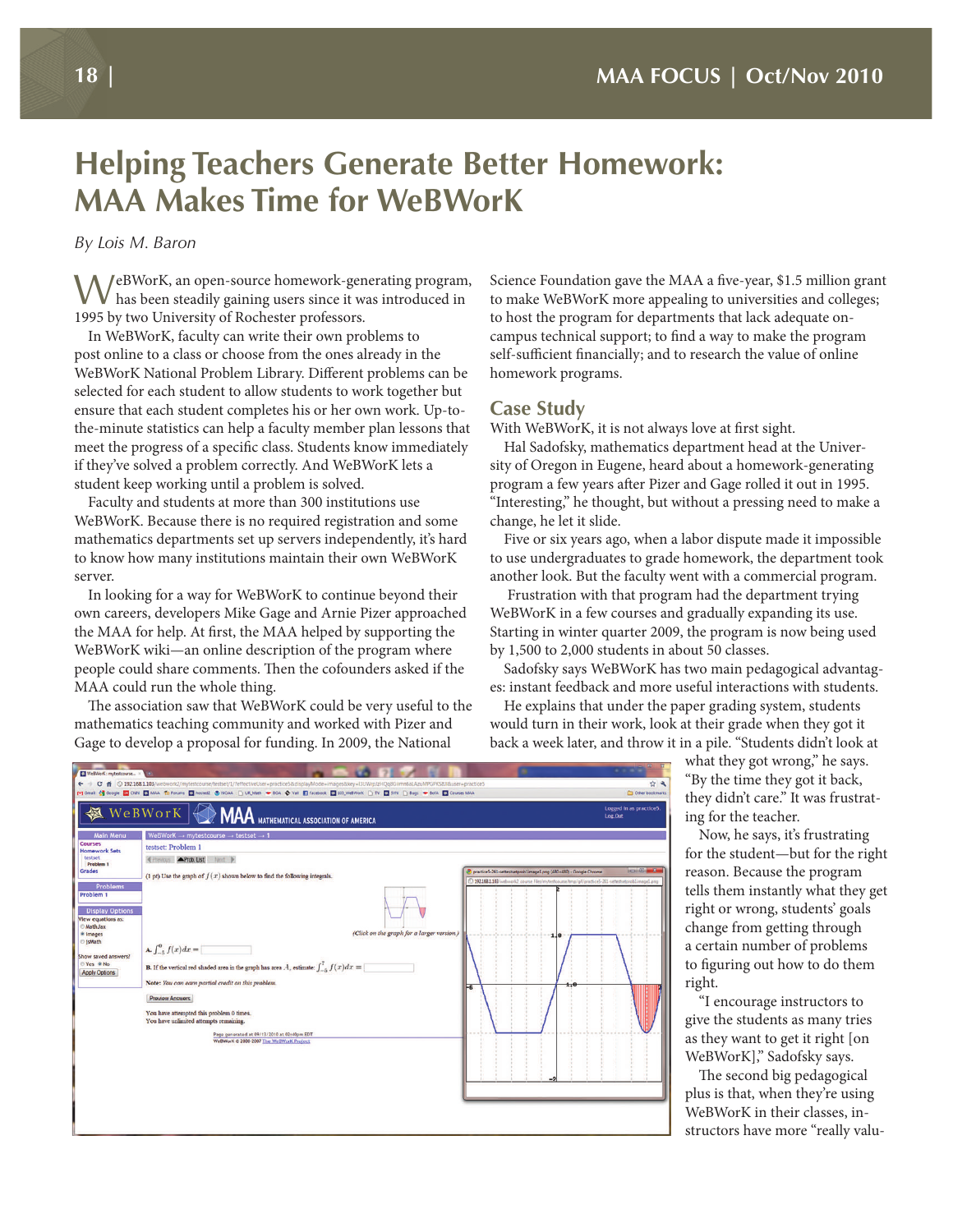# **Helping Teachers Generate Better Homework: MAA Makes Time for WeBWorK**

*By Lois M. Baron*

WeBWorK, an open-source homework-generating program, has been steadily gaining users since it was introduced in 1995 by two University of Rochester professors.

In WeBWorK, faculty can write their own problems to post online to a class or choose from the ones already in the WeBWorK National Problem Library. Different problems can be selected for each student to allow students to work together but ensure that each student completes his or her own work. Up-tothe-minute statistics can help a faculty member plan lessons that meet the progress of a specific class. Students know immediately if they've solved a problem correctly. And WeBWorK lets a student keep working until a problem is solved.

Faculty and students at more than 300 institutions use WeBWorK. Because there is no required registration and some mathematics departments set up servers independently, it's hard to know how many institutions maintain their own WeBWorK server.

In looking for a way for WeBWorK to continue beyond their own careers, developers Mike Gage and Arnie Pizer approached the MAA for help. At first, the MAA helped by supporting the WeBWorK wiki—an online description of the program where people could share comments. Then the cofounders asked if the MAA could run the whole thing.

The association saw that WeBWorK could be very useful to the mathematics teaching community and worked with Pizer and Gage to develop a proposal for funding. In 2009, the National

Science Foundation gave the MAA a five-year, \$1.5 million grant to make WeBWorK more appealing to universities and colleges; to host the program for departments that lack adequate oncampus technical support; to find a way to make the program self-sufficient financially; and to research the value of online homework programs.

## **Case Study**

With WeBWorK, it is not always love at first sight.

Hal Sadofsky, mathematics department head at the University of Oregon in Eugene, heard about a homework-generating program a few years after Pizer and Gage rolled it out in 1995. "Interesting," he thought, but without a pressing need to make a change, he let it slide.

Five or six years ago, when a labor dispute made it impossible to use undergraduates to grade homework, the department took another look. But the faculty went with a commercial program.

 Frustration with that program had the department trying WeBWorK in a few courses and gradually expanding its use. Starting in winter quarter 2009, the program is now being used by 1,500 to 2,000 students in about 50 classes.

Sadofsky says WeBWorK has two main pedagogical advantages: instant feedback and more useful interactions with students.

He explains that under the paper grading system, students would turn in their work, look at their grade when they got it back a week later, and throw it in a pile. "Students didn't look at

> what they got wrong," he says. "By the time they got it back, they didn't care." It was frustrating for the teacher.

Now, he says, it's frustrating for the student—but for the right reason. Because the program tells them instantly what they get right or wrong, students' goals change from getting through a certain number of problems to figuring out how to do them right.

"I encourage instructors to give the students as many tries as they want to get it right [on WeBWorK]," Sadofsky says.

The second big pedagogical plus is that, when they're using WeBWorK in their classes, instructors have more "really valu-